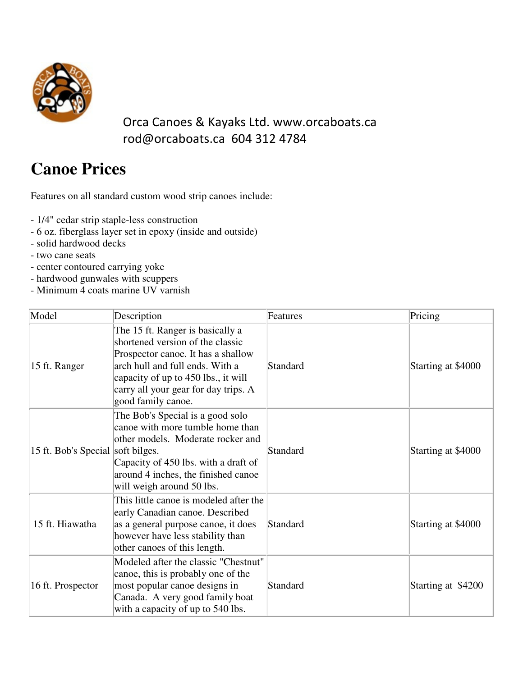

## Orca Canoes & Kayaks Ltd. www.orcaboats.ca rod@orcaboats.ca 604 312 4784

## **Canoe Prices**

Features on all standard custom wood strip canoes include:

- 1/4" cedar strip staple-less construction
- 6 oz. fiberglass layer set in epoxy (inside and outside)
- solid hardwood decks
- two cane seats
- center contoured carrying yoke
- hardwood gunwales with scuppers
- Minimum 4 coats marine UV varnish

| Model                             | Description                                                                                                                                                                                                                                        | Features | Pricing            |
|-----------------------------------|----------------------------------------------------------------------------------------------------------------------------------------------------------------------------------------------------------------------------------------------------|----------|--------------------|
| 15 ft. Ranger                     | The 15 ft. Ranger is basically a<br>shortened version of the classic<br>Prospector canoe. It has a shallow<br>arch hull and full ends. With a<br>capacity of up to 450 lbs., it will<br>carry all your gear for day trips. A<br>good family canoe. | Standard | Starting at \$4000 |
| 15 ft. Bob's Special soft bilges. | The Bob's Special is a good solo<br>canoe with more tumble home than<br>other models. Moderate rocker and<br>Capacity of 450 lbs. with a draft of<br>around 4 inches, the finished canoe<br>will weigh around 50 lbs.                              | Standard | Starting at \$4000 |
| 15 ft. Hiawatha                   | This little canoe is modeled after the<br>early Canadian canoe. Described<br>as a general purpose canoe, it does<br>however have less stability than<br>other canoes of this length.                                                               | Standard | Starting at \$4000 |
| 16 ft. Prospector                 | Modeled after the classic "Chestnut"<br>canoe, this is probably one of the<br>most popular canoe designs in<br>Canada. A very good family boat<br>with a capacity of up to 540 lbs.                                                                | Standard | Starting at \$4200 |